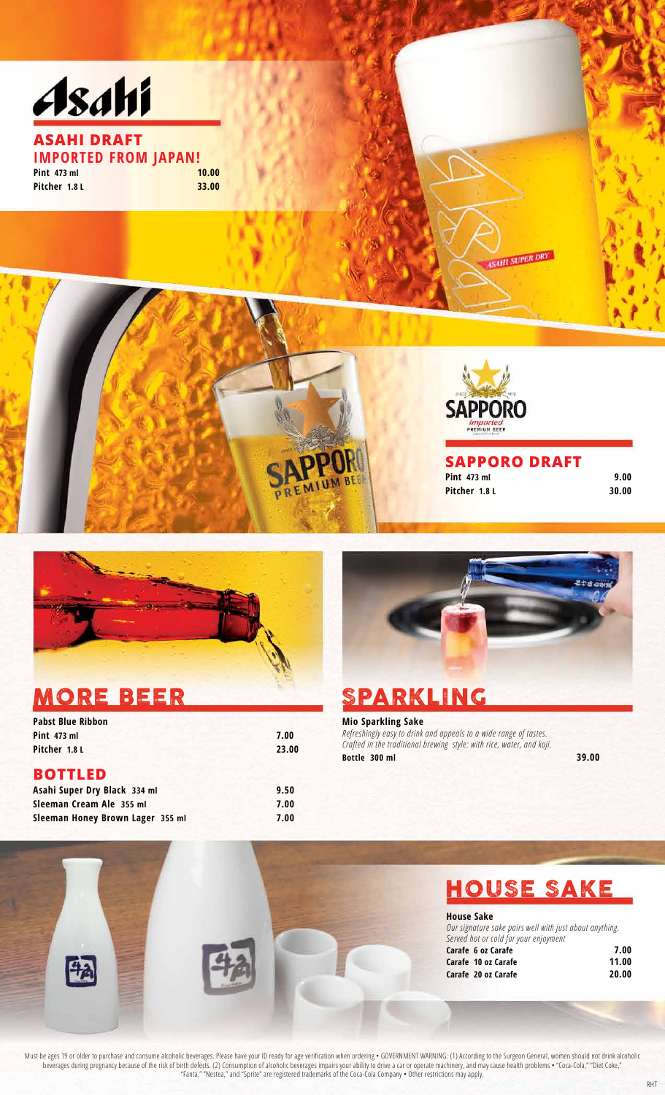



### MORE BEER SPARKLING

白

| <b>Pabst Blue Ribbon</b>         |       |
|----------------------------------|-------|
| <b>Pint 473 ml</b>               | 7.00  |
| Pitcher 1.8 L                    | 23.00 |
| <b>BOTTLED</b>                   |       |
| Asahi Super Dry Black 334 ml     | 9.50  |
| Sleeman Cream Ale 355 ml         | 7.00  |
| Sleeman Honey Brown Lager 355 ml | 7.00  |
|                                  |       |



**Mio Sparkling Sake** *Refreshingly easy to drink and appeals to a wide range of tastes. Crafted in the traditional brewing style: with rice, water, and koji.* **Bottle 300 ml** 39.00



**House Sake** *Our signature sake pairs well with just about anything. Served hot or cold for your enjoyment* **Carafe 6 oz Carafe 7.00 Carafe 10 oz Carafe 11.00 Carafe 20 oz Carafe 20.00**

Must be ages 19 or older to purchase and consume alcoholic beverages. Please have your ID ready for age verification when ordering • GOVERNMENT WARNING: (1) According to the Surgeon General, women should not drink alcoholic beverages during pregnancy because of the risk of birth defects. (2) Consumption of alcoholic beverages impairs your ability to drive a car or operate machinery, and may cause health problems • "Coca-Cola," "Diet Coke," "Fanta," "Nestea," and "Sprite" are registered trademarks of the Coca-Cola Company • Other restrictions may apply.